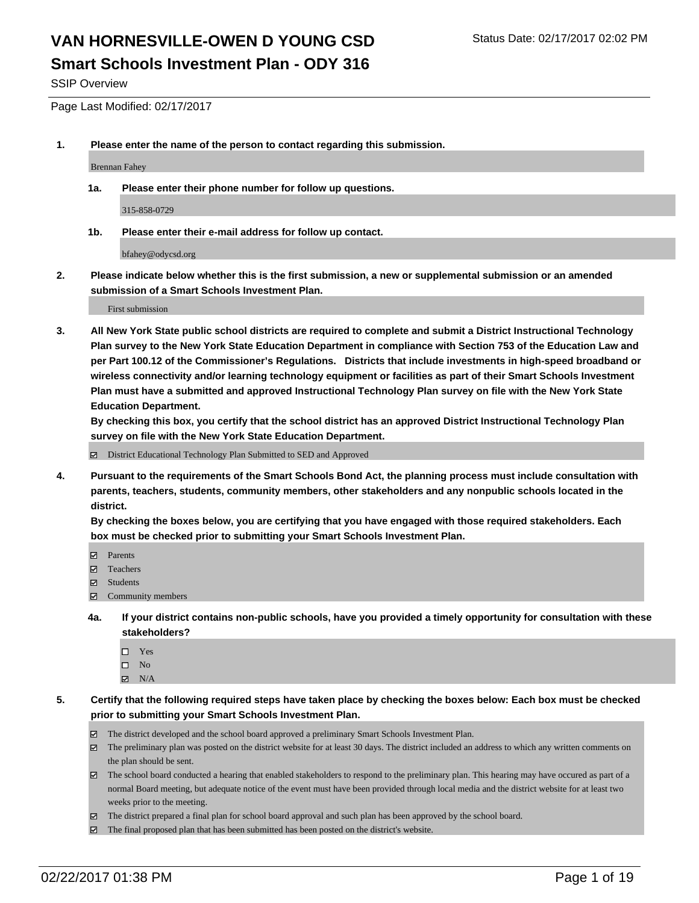SSIP Overview

Page Last Modified: 02/17/2017

**1. Please enter the name of the person to contact regarding this submission.**

Brennan Fahey

**1a. Please enter their phone number for follow up questions.**

315-858-0729

**1b. Please enter their e-mail address for follow up contact.**

bfahey@odycsd.org

**2. Please indicate below whether this is the first submission, a new or supplemental submission or an amended submission of a Smart Schools Investment Plan.**

First submission

**3. All New York State public school districts are required to complete and submit a District Instructional Technology Plan survey to the New York State Education Department in compliance with Section 753 of the Education Law and per Part 100.12 of the Commissioner's Regulations. Districts that include investments in high-speed broadband or wireless connectivity and/or learning technology equipment or facilities as part of their Smart Schools Investment Plan must have a submitted and approved Instructional Technology Plan survey on file with the New York State Education Department.** 

**By checking this box, you certify that the school district has an approved District Instructional Technology Plan survey on file with the New York State Education Department.**

District Educational Technology Plan Submitted to SED and Approved

**4. Pursuant to the requirements of the Smart Schools Bond Act, the planning process must include consultation with parents, teachers, students, community members, other stakeholders and any nonpublic schools located in the district.** 

**By checking the boxes below, you are certifying that you have engaged with those required stakeholders. Each box must be checked prior to submitting your Smart Schools Investment Plan.**

- **Parents**
- Teachers
- **冈** Students
- Community members
- **4a. If your district contains non-public schools, have you provided a timely opportunity for consultation with these stakeholders?**
	- □ Yes
	- $\square$  No
	- $\boxtimes$  N/A
- **5. Certify that the following required steps have taken place by checking the boxes below: Each box must be checked prior to submitting your Smart Schools Investment Plan.**
	- The district developed and the school board approved a preliminary Smart Schools Investment Plan.
	- The preliminary plan was posted on the district website for at least 30 days. The district included an address to which any written comments on the plan should be sent.
	- The school board conducted a hearing that enabled stakeholders to respond to the preliminary plan. This hearing may have occured as part of a normal Board meeting, but adequate notice of the event must have been provided through local media and the district website for at least two weeks prior to the meeting.
	- The district prepared a final plan for school board approval and such plan has been approved by the school board.
	- $\boxtimes$  The final proposed plan that has been submitted has been posted on the district's website.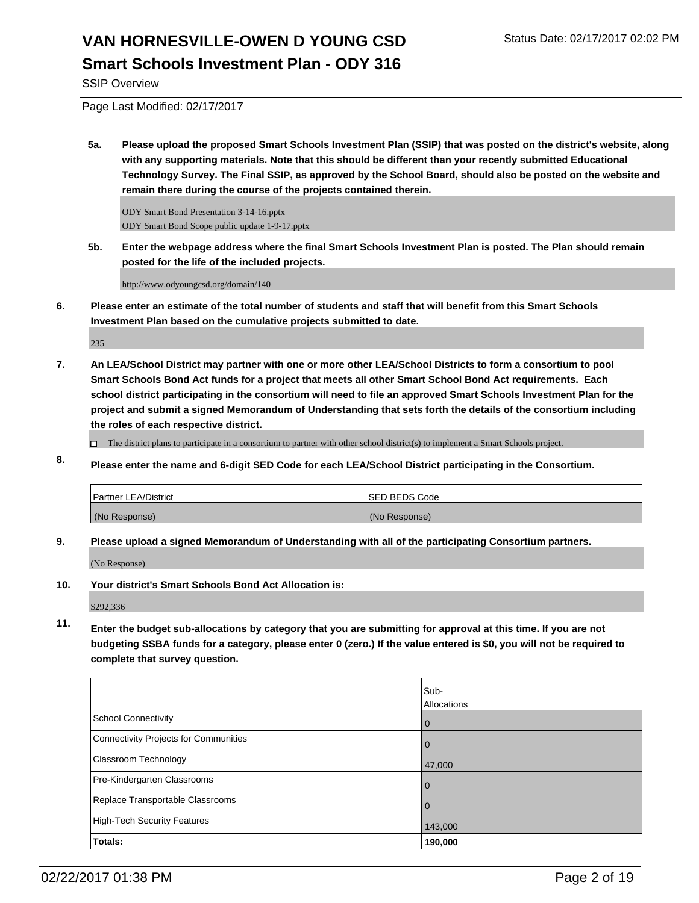SSIP Overview

Page Last Modified: 02/17/2017

**5a. Please upload the proposed Smart Schools Investment Plan (SSIP) that was posted on the district's website, along with any supporting materials. Note that this should be different than your recently submitted Educational Technology Survey. The Final SSIP, as approved by the School Board, should also be posted on the website and remain there during the course of the projects contained therein.**

ODY Smart Bond Presentation 3-14-16.pptx ODY Smart Bond Scope public update 1-9-17.pptx

**5b. Enter the webpage address where the final Smart Schools Investment Plan is posted. The Plan should remain posted for the life of the included projects.**

http://www.odyoungcsd.org/domain/140

**6. Please enter an estimate of the total number of students and staff that will benefit from this Smart Schools Investment Plan based on the cumulative projects submitted to date.**

235

**7. An LEA/School District may partner with one or more other LEA/School Districts to form a consortium to pool Smart Schools Bond Act funds for a project that meets all other Smart School Bond Act requirements. Each school district participating in the consortium will need to file an approved Smart Schools Investment Plan for the project and submit a signed Memorandum of Understanding that sets forth the details of the consortium including the roles of each respective district.**

 $\Box$  The district plans to participate in a consortium to partner with other school district(s) to implement a Smart Schools project.

**8. Please enter the name and 6-digit SED Code for each LEA/School District participating in the Consortium.**

| <b>Partner LEA/District</b> | ISED BEDS Code |
|-----------------------------|----------------|
| (No Response)               | (No Response)  |

**9. Please upload a signed Memorandum of Understanding with all of the participating Consortium partners.**

(No Response)

**10. Your district's Smart Schools Bond Act Allocation is:**

\$292,336

**11. Enter the budget sub-allocations by category that you are submitting for approval at this time. If you are not budgeting SSBA funds for a category, please enter 0 (zero.) If the value entered is \$0, you will not be required to complete that survey question.**

|                                       | Sub-<br>Allocations |
|---------------------------------------|---------------------|
| School Connectivity                   | l 0                 |
| Connectivity Projects for Communities | l 0                 |
| Classroom Technology                  | 47,000              |
| Pre-Kindergarten Classrooms           | l 0                 |
| Replace Transportable Classrooms      | $\Omega$            |
| High-Tech Security Features           | 143,000             |
| Totals:                               | 190,000             |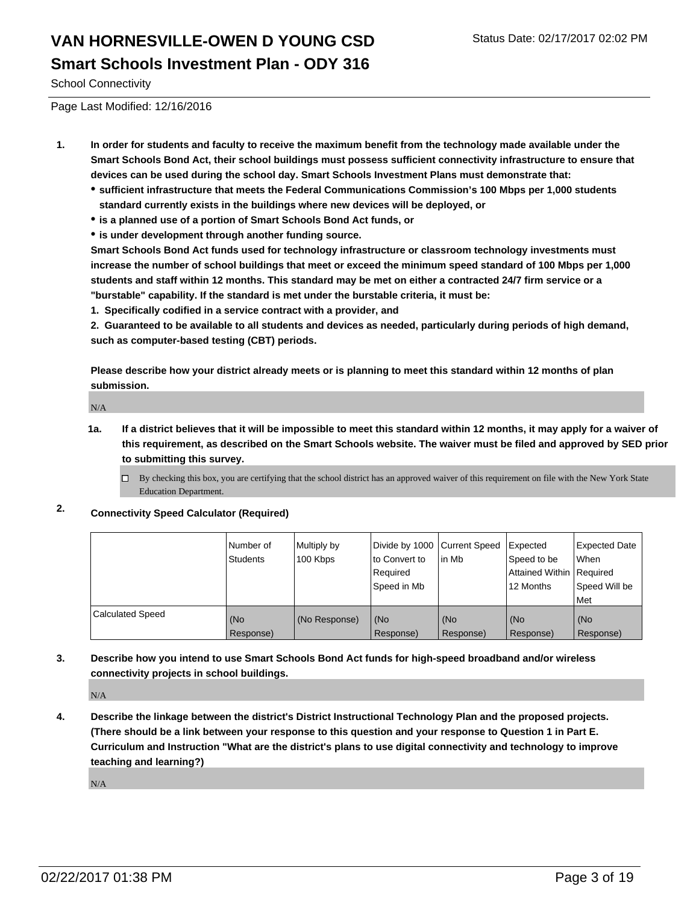School Connectivity

Page Last Modified: 12/16/2016

- **1. In order for students and faculty to receive the maximum benefit from the technology made available under the Smart Schools Bond Act, their school buildings must possess sufficient connectivity infrastructure to ensure that devices can be used during the school day. Smart Schools Investment Plans must demonstrate that:**
	- **sufficient infrastructure that meets the Federal Communications Commission's 100 Mbps per 1,000 students standard currently exists in the buildings where new devices will be deployed, or**
	- **is a planned use of a portion of Smart Schools Bond Act funds, or**
	- **is under development through another funding source.**

**Smart Schools Bond Act funds used for technology infrastructure or classroom technology investments must increase the number of school buildings that meet or exceed the minimum speed standard of 100 Mbps per 1,000 students and staff within 12 months. This standard may be met on either a contracted 24/7 firm service or a "burstable" capability. If the standard is met under the burstable criteria, it must be:**

**1. Specifically codified in a service contract with a provider, and**

**2. Guaranteed to be available to all students and devices as needed, particularly during periods of high demand, such as computer-based testing (CBT) periods.**

**Please describe how your district already meets or is planning to meet this standard within 12 months of plan submission.**

N/A

**1a. If a district believes that it will be impossible to meet this standard within 12 months, it may apply for a waiver of this requirement, as described on the Smart Schools website. The waiver must be filed and approved by SED prior to submitting this survey.**

 $\Box$ By checking this box, you are certifying that the school district has an approved waiver of this requirement on file with the New York State Education Department.

**2. Connectivity Speed Calculator (Required)**

|                         | l Number of<br>Students | Multiply by<br>100 Kbps | Divide by 1000   Current Speed<br>to Convert to<br>Reauired<br>Speed in Mb | in Mb            | Expected<br>Speed to be<br>Attained Within   Required<br>12 Months | <b>Expected Date</b><br>l When<br>Speed Will be<br>Met |
|-------------------------|-------------------------|-------------------------|----------------------------------------------------------------------------|------------------|--------------------------------------------------------------------|--------------------------------------------------------|
| <b>Calculated Speed</b> | (No<br>Response)        | (No Response)           | (No<br>Response)                                                           | (No<br>Response) | (No<br>Response)                                                   | l (No<br>Response)                                     |

**3. Describe how you intend to use Smart Schools Bond Act funds for high-speed broadband and/or wireless connectivity projects in school buildings.**

N/A

**4. Describe the linkage between the district's District Instructional Technology Plan and the proposed projects. (There should be a link between your response to this question and your response to Question 1 in Part E. Curriculum and Instruction "What are the district's plans to use digital connectivity and technology to improve teaching and learning?)**

N/A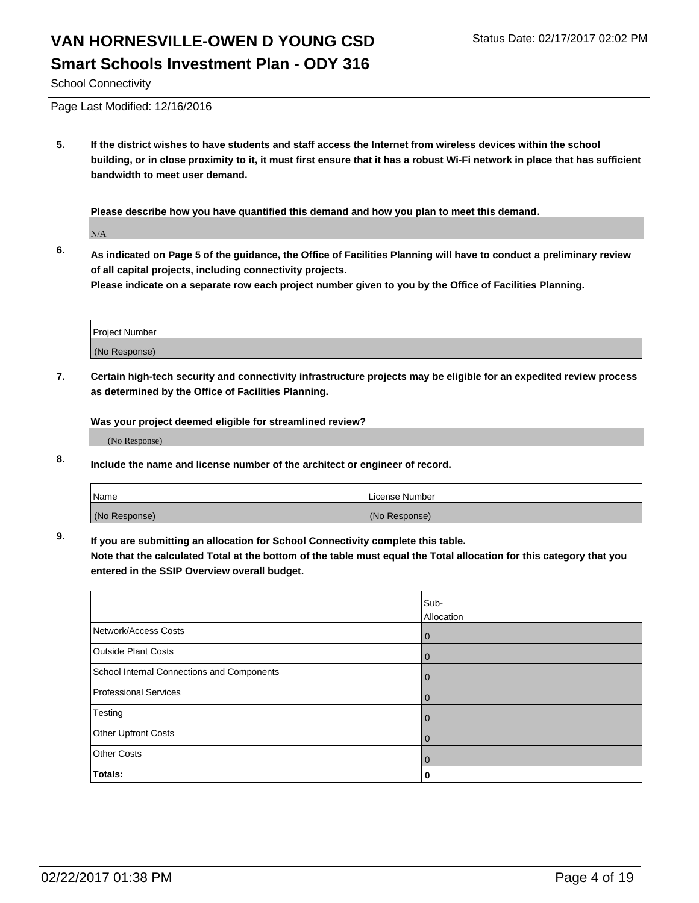School Connectivity

Page Last Modified: 12/16/2016

**5. If the district wishes to have students and staff access the Internet from wireless devices within the school building, or in close proximity to it, it must first ensure that it has a robust Wi-Fi network in place that has sufficient bandwidth to meet user demand.**

**Please describe how you have quantified this demand and how you plan to meet this demand.**

N/A

**6. As indicated on Page 5 of the guidance, the Office of Facilities Planning will have to conduct a preliminary review of all capital projects, including connectivity projects.**

**Please indicate on a separate row each project number given to you by the Office of Facilities Planning.**

| Project Number |  |
|----------------|--|
|                |  |
| (No Response)  |  |

**7. Certain high-tech security and connectivity infrastructure projects may be eligible for an expedited review process as determined by the Office of Facilities Planning.**

**Was your project deemed eligible for streamlined review?**

(No Response)

**8. Include the name and license number of the architect or engineer of record.**

| <b>Name</b>   | License Number |
|---------------|----------------|
| (No Response) | (No Response)  |

**9. If you are submitting an allocation for School Connectivity complete this table.**

**Note that the calculated Total at the bottom of the table must equal the Total allocation for this category that you entered in the SSIP Overview overall budget.** 

|                                            | Sub-       |
|--------------------------------------------|------------|
|                                            | Allocation |
| Network/Access Costs                       | l 0        |
| <b>Outside Plant Costs</b>                 | l 0        |
| School Internal Connections and Components | l 0        |
| <b>Professional Services</b>               | l 0        |
| Testing                                    | l 0        |
| Other Upfront Costs                        | l 0        |
| <b>Other Costs</b>                         | l 0        |
| Totals:                                    | 0          |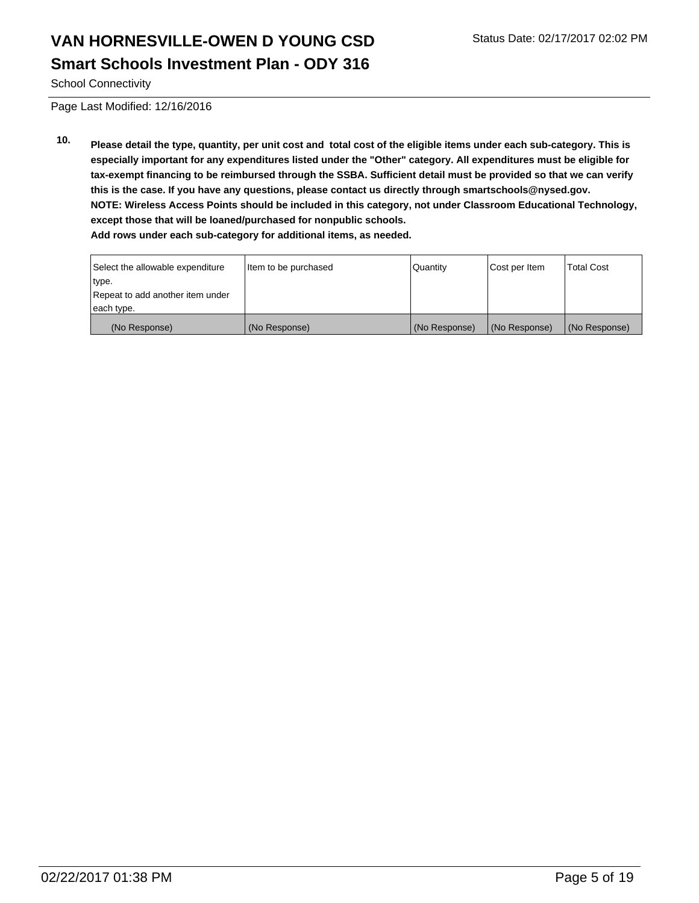School Connectivity

Page Last Modified: 12/16/2016

**10. Please detail the type, quantity, per unit cost and total cost of the eligible items under each sub-category. This is especially important for any expenditures listed under the "Other" category. All expenditures must be eligible for tax-exempt financing to be reimbursed through the SSBA. Sufficient detail must be provided so that we can verify this is the case. If you have any questions, please contact us directly through smartschools@nysed.gov. NOTE: Wireless Access Points should be included in this category, not under Classroom Educational Technology, except those that will be loaned/purchased for nonpublic schools. Add rows under each sub-category for additional items, as needed.**

| Select the allowable expenditure | Item to be purchased | Quantity      | Cost per Item | <b>Total Cost</b> |
|----------------------------------|----------------------|---------------|---------------|-------------------|
| type.                            |                      |               |               |                   |
| Repeat to add another item under |                      |               |               |                   |
| each type.                       |                      |               |               |                   |
| (No Response)                    | (No Response)        | (No Response) | (No Response) | (No Response)     |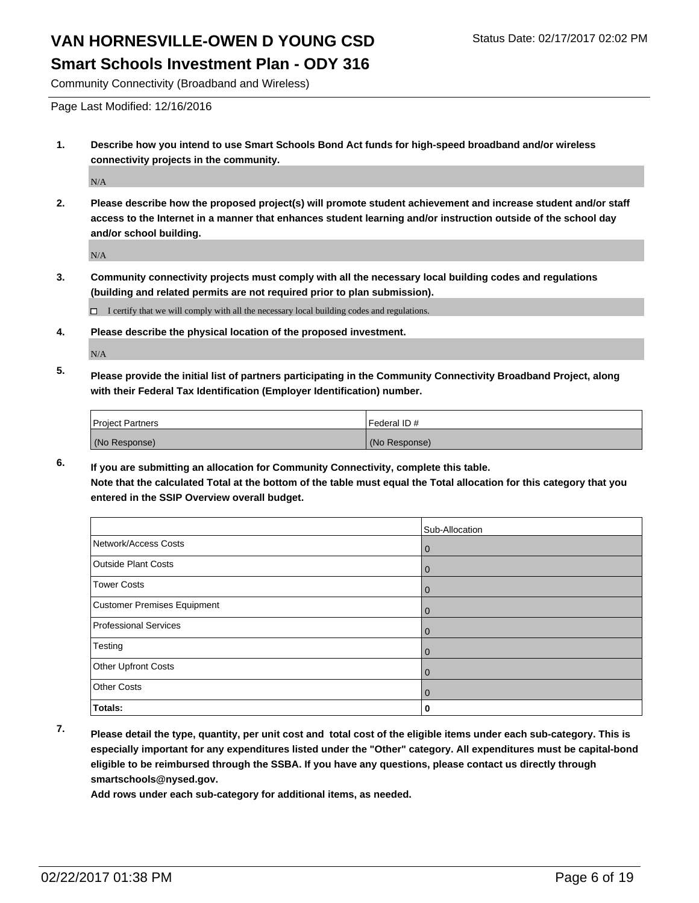**Smart Schools Investment Plan - ODY 316**

Community Connectivity (Broadband and Wireless)

Page Last Modified: 12/16/2016

**1. Describe how you intend to use Smart Schools Bond Act funds for high-speed broadband and/or wireless connectivity projects in the community.**

N/A

**2. Please describe how the proposed project(s) will promote student achievement and increase student and/or staff access to the Internet in a manner that enhances student learning and/or instruction outside of the school day and/or school building.**

N/A

**3. Community connectivity projects must comply with all the necessary local building codes and regulations (building and related permits are not required prior to plan submission).**

 $\Box$  I certify that we will comply with all the necessary local building codes and regulations.

**4. Please describe the physical location of the proposed investment.**

N/A

**5. Please provide the initial list of partners participating in the Community Connectivity Broadband Project, along with their Federal Tax Identification (Employer Identification) number.**

| <b>Project Partners</b> | Federal ID#   |
|-------------------------|---------------|
| (No Response)           | (No Response) |

**6. If you are submitting an allocation for Community Connectivity, complete this table. Note that the calculated Total at the bottom of the table must equal the Total allocation for this category that you entered in the SSIP Overview overall budget.**

|                                    | Sub-Allocation |
|------------------------------------|----------------|
| Network/Access Costs               | 0              |
| <b>Outside Plant Costs</b>         | 0              |
| <b>Tower Costs</b>                 | 0              |
| <b>Customer Premises Equipment</b> | 0              |
| <b>Professional Services</b>       | U              |
| Testing                            | O              |
| Other Upfront Costs                | 0              |
| <b>Other Costs</b>                 | 0              |
| Totals:                            |                |

- 
- **7. Please detail the type, quantity, per unit cost and total cost of the eligible items under each sub-category. This is especially important for any expenditures listed under the "Other" category. All expenditures must be capital-bond eligible to be reimbursed through the SSBA. If you have any questions, please contact us directly through smartschools@nysed.gov.**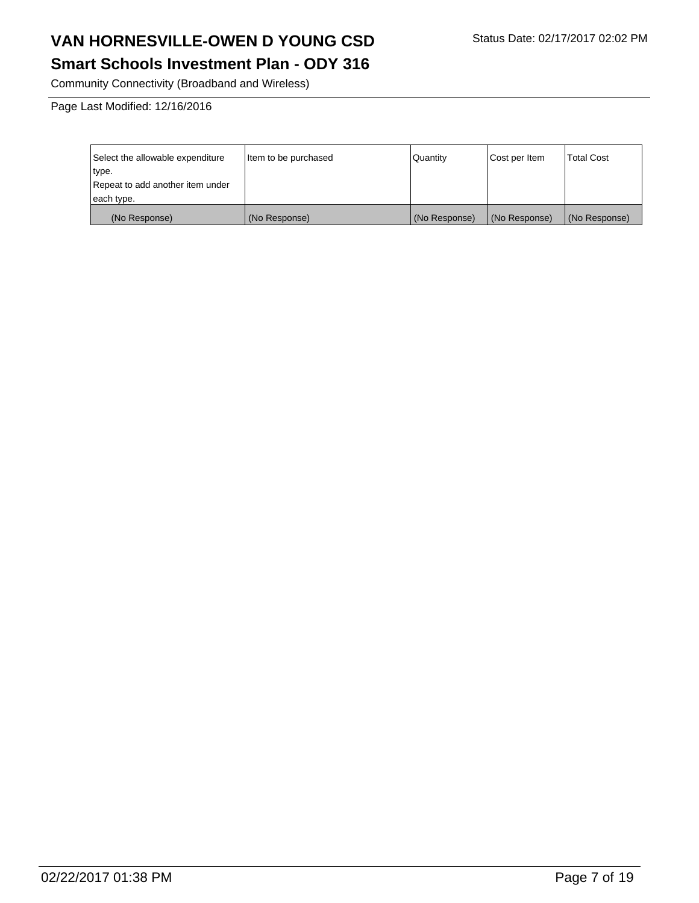#### **Smart Schools Investment Plan - ODY 316**

Community Connectivity (Broadband and Wireless)

Page Last Modified: 12/16/2016

| Select the allowable expenditure | litem to be purchased | Quantity      | Cost per Item | <b>Total Cost</b> |
|----------------------------------|-----------------------|---------------|---------------|-------------------|
| type.                            |                       |               |               |                   |
| Repeat to add another item under |                       |               |               |                   |
| each type.                       |                       |               |               |                   |
| (No Response)                    | (No Response)         | (No Response) | (No Response) | (No Response)     |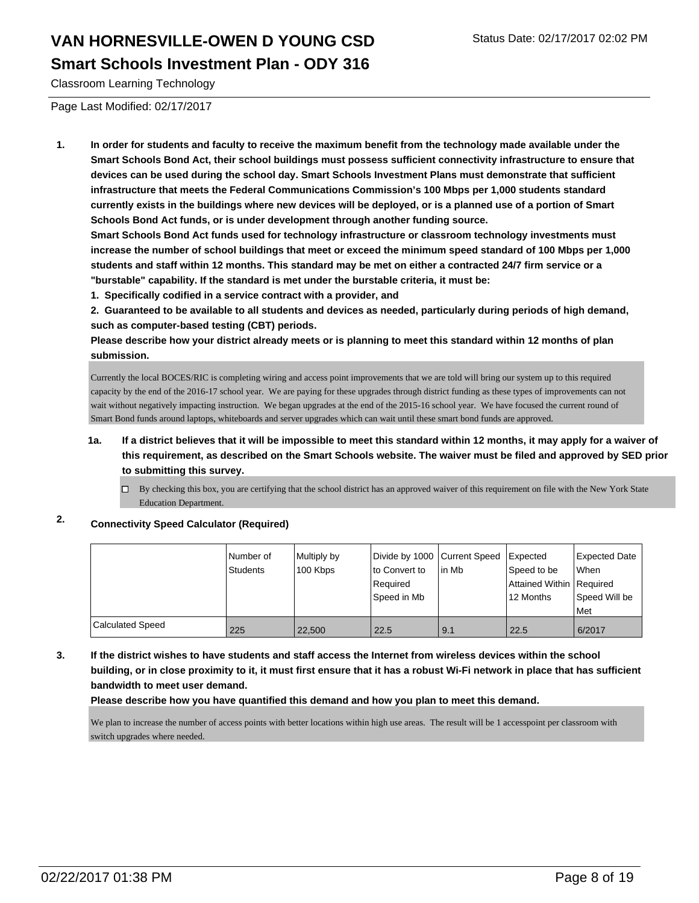Classroom Learning Technology

Page Last Modified: 02/17/2017

**1. In order for students and faculty to receive the maximum benefit from the technology made available under the Smart Schools Bond Act, their school buildings must possess sufficient connectivity infrastructure to ensure that devices can be used during the school day. Smart Schools Investment Plans must demonstrate that sufficient infrastructure that meets the Federal Communications Commission's 100 Mbps per 1,000 students standard currently exists in the buildings where new devices will be deployed, or is a planned use of a portion of Smart Schools Bond Act funds, or is under development through another funding source.**

**Smart Schools Bond Act funds used for technology infrastructure or classroom technology investments must increase the number of school buildings that meet or exceed the minimum speed standard of 100 Mbps per 1,000 students and staff within 12 months. This standard may be met on either a contracted 24/7 firm service or a "burstable" capability. If the standard is met under the burstable criteria, it must be:**

**1. Specifically codified in a service contract with a provider, and**

**2. Guaranteed to be available to all students and devices as needed, particularly during periods of high demand, such as computer-based testing (CBT) periods.**

**Please describe how your district already meets or is planning to meet this standard within 12 months of plan submission.**

Currently the local BOCES/RIC is completing wiring and access point improvements that we are told will bring our system up to this required capacity by the end of the 2016-17 school year. We are paying for these upgrades through district funding as these types of improvements can not wait without negatively impacting instruction. We began upgrades at the end of the 2015-16 school year. We have focused the current round of Smart Bond funds around laptops, whiteboards and server upgrades which can wait until these smart bond funds are approved.

- **1a. If a district believes that it will be impossible to meet this standard within 12 months, it may apply for a waiver of this requirement, as described on the Smart Schools website. The waiver must be filed and approved by SED prior to submitting this survey.**
	- $\Box$  By checking this box, you are certifying that the school district has an approved waiver of this requirement on file with the New York State Education Department.

**2. Connectivity Speed Calculator (Required)**

|                         | Number of<br>Students | Multiply by<br>100 Kbps | Divide by 1000 Current Speed<br>lto Convert to<br>Required<br>Speed in Mb | in Mb | Expected<br>Speed to be<br>Attained Within Required<br>l 12 Months | Expected Date<br><b>When</b><br>Speed Will be<br><b>Met</b> |
|-------------------------|-----------------------|-------------------------|---------------------------------------------------------------------------|-------|--------------------------------------------------------------------|-------------------------------------------------------------|
| <b>Calculated Speed</b> | 225                   | 22,500                  | 22.5                                                                      | 9.1   | 22.5                                                               | 6/2017                                                      |

**3. If the district wishes to have students and staff access the Internet from wireless devices within the school building, or in close proximity to it, it must first ensure that it has a robust Wi-Fi network in place that has sufficient bandwidth to meet user demand.**

**Please describe how you have quantified this demand and how you plan to meet this demand.**

We plan to increase the number of access points with better locations within high use areas. The result will be 1 accesspoint per classroom with switch upgrades where needed.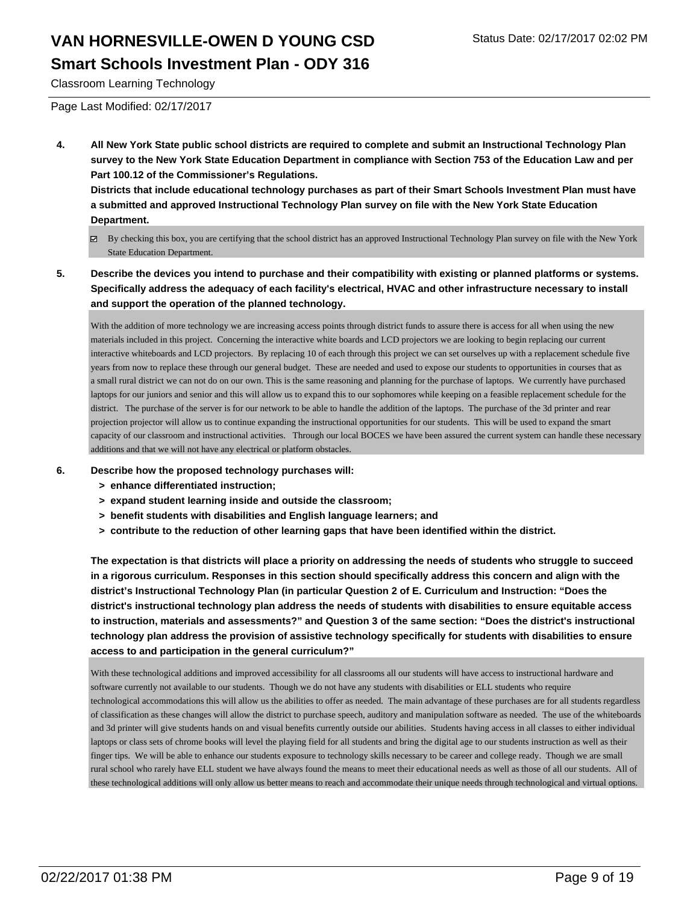Classroom Learning Technology

Page Last Modified: 02/17/2017

**4. All New York State public school districts are required to complete and submit an Instructional Technology Plan survey to the New York State Education Department in compliance with Section 753 of the Education Law and per Part 100.12 of the Commissioner's Regulations.**

**Districts that include educational technology purchases as part of their Smart Schools Investment Plan must have a submitted and approved Instructional Technology Plan survey on file with the New York State Education Department.**

- By checking this box, you are certifying that the school district has an approved Instructional Technology Plan survey on file with the New York State Education Department.
- **5. Describe the devices you intend to purchase and their compatibility with existing or planned platforms or systems. Specifically address the adequacy of each facility's electrical, HVAC and other infrastructure necessary to install and support the operation of the planned technology.**

With the addition of more technology we are increasing access points through district funds to assure there is access for all when using the new materials included in this project. Concerning the interactive white boards and LCD projectors we are looking to begin replacing our current interactive whiteboards and LCD projectors. By replacing 10 of each through this project we can set ourselves up with a replacement schedule five years from now to replace these through our general budget. These are needed and used to expose our students to opportunities in courses that as a small rural district we can not do on our own. This is the same reasoning and planning for the purchase of laptops. We currently have purchased laptops for our juniors and senior and this will allow us to expand this to our sophomores while keeping on a feasible replacement schedule for the district. The purchase of the server is for our network to be able to handle the addition of the laptops. The purchase of the 3d printer and rear projection projector will allow us to continue expanding the instructional opportunities for our students. This will be used to expand the smart capacity of our classroom and instructional activities. Through our local BOCES we have been assured the current system can handle these necessary additions and that we will not have any electrical or platform obstacles.

- **6. Describe how the proposed technology purchases will:**
	- **> enhance differentiated instruction;**
	- **> expand student learning inside and outside the classroom;**
	- **> benefit students with disabilities and English language learners; and**
	- **> contribute to the reduction of other learning gaps that have been identified within the district.**

**The expectation is that districts will place a priority on addressing the needs of students who struggle to succeed in a rigorous curriculum. Responses in this section should specifically address this concern and align with the district's Instructional Technology Plan (in particular Question 2 of E. Curriculum and Instruction: "Does the district's instructional technology plan address the needs of students with disabilities to ensure equitable access to instruction, materials and assessments?" and Question 3 of the same section: "Does the district's instructional technology plan address the provision of assistive technology specifically for students with disabilities to ensure access to and participation in the general curriculum?"**

With these technological additions and improved accessibility for all classrooms all our students will have access to instructional hardware and software currently not available to our students. Though we do not have any students with disabilities or ELL students who require technological accommodations this will allow us the abilities to offer as needed. The main advantage of these purchases are for all students regardless of classification as these changes will allow the district to purchase speech, auditory and manipulation software as needed. The use of the whiteboards and 3d printer will give students hands on and visual benefits currently outside our abilities. Students having access in all classes to either individual laptops or class sets of chrome books will level the playing field for all students and bring the digital age to our students instruction as well as their finger tips. We will be able to enhance our students exposure to technology skills necessary to be career and college ready. Though we are small rural school who rarely have ELL student we have always found the means to meet their educational needs as well as those of all our students. All of these technological additions will only allow us better means to reach and accommodate their unique needs through technological and virtual options.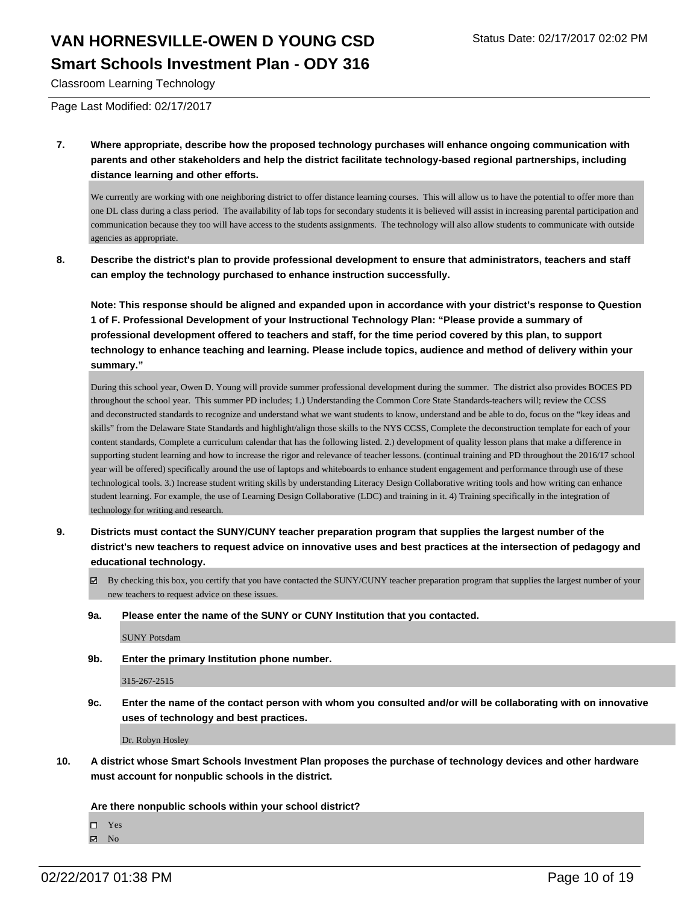Classroom Learning Technology

Page Last Modified: 02/17/2017

**7. Where appropriate, describe how the proposed technology purchases will enhance ongoing communication with parents and other stakeholders and help the district facilitate technology-based regional partnerships, including distance learning and other efforts.**

We currently are working with one neighboring district to offer distance learning courses. This will allow us to have the potential to offer more than one DL class during a class period. The availability of lab tops for secondary students it is believed will assist in increasing parental participation and communication because they too will have access to the students assignments. The technology will also allow students to communicate with outside agencies as appropriate.

**8. Describe the district's plan to provide professional development to ensure that administrators, teachers and staff can employ the technology purchased to enhance instruction successfully.**

**Note: This response should be aligned and expanded upon in accordance with your district's response to Question 1 of F. Professional Development of your Instructional Technology Plan: "Please provide a summary of professional development offered to teachers and staff, for the time period covered by this plan, to support technology to enhance teaching and learning. Please include topics, audience and method of delivery within your summary."**

During this school year, Owen D. Young will provide summer professional development during the summer. The district also provides BOCES PD throughout the school year. This summer PD includes; 1.) Understanding the Common Core State Standards-teachers will; review the CCSS and deconstructed standards to recognize and understand what we want students to know, understand and be able to do, focus on the "key ideas and skills" from the Delaware State Standards and highlight/align those skills to the NYS CCSS, Complete the deconstruction template for each of your content standards, Complete a curriculum calendar that has the following listed. 2.) development of quality lesson plans that make a difference in supporting student learning and how to increase the rigor and relevance of teacher lessons. (continual training and PD throughout the 2016/17 school year will be offered) specifically around the use of laptops and whiteboards to enhance student engagement and performance through use of these technological tools. 3.) Increase student writing skills by understanding Literacy Design Collaborative writing tools and how writing can enhance student learning. For example, the use of Learning Design Collaborative (LDC) and training in it. 4) Training specifically in the integration of technology for writing and research.

- **9. Districts must contact the SUNY/CUNY teacher preparation program that supplies the largest number of the district's new teachers to request advice on innovative uses and best practices at the intersection of pedagogy and educational technology.**
	- By checking this box, you certify that you have contacted the SUNY/CUNY teacher preparation program that supplies the largest number of your new teachers to request advice on these issues.
	- **9a. Please enter the name of the SUNY or CUNY Institution that you contacted.**

SUNY Potsdam

**9b. Enter the primary Institution phone number.**

315-267-2515

**9c. Enter the name of the contact person with whom you consulted and/or will be collaborating with on innovative uses of technology and best practices.**

Dr. Robyn Hosley

**10. A district whose Smart Schools Investment Plan proposes the purchase of technology devices and other hardware must account for nonpublic schools in the district.**

**Are there nonpublic schools within your school district?**

Yes

 $\blacksquare$  No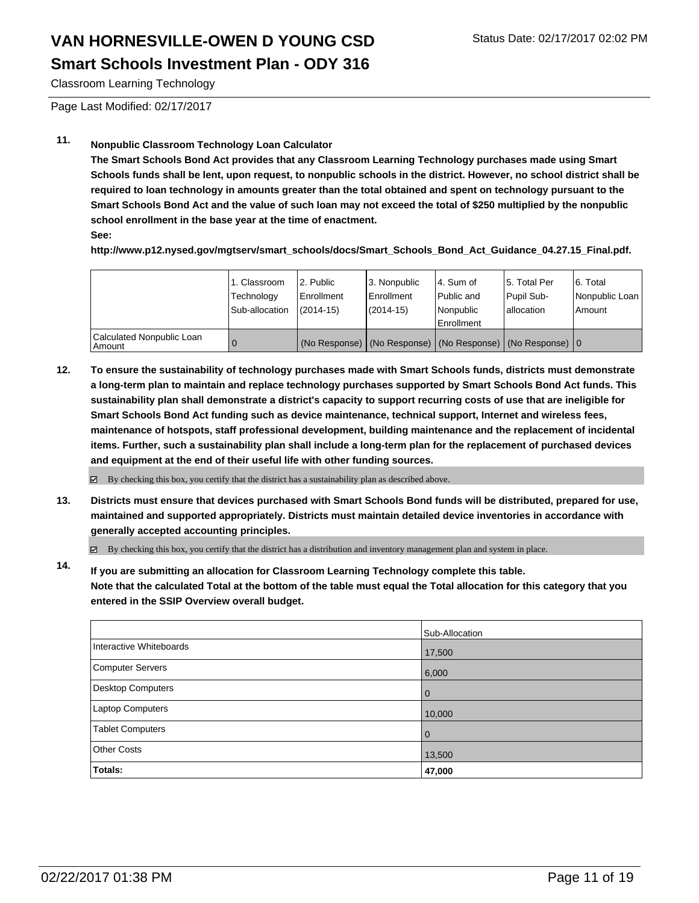Classroom Learning Technology

Page Last Modified: 02/17/2017

#### **11. Nonpublic Classroom Technology Loan Calculator**

**The Smart Schools Bond Act provides that any Classroom Learning Technology purchases made using Smart Schools funds shall be lent, upon request, to nonpublic schools in the district. However, no school district shall be required to loan technology in amounts greater than the total obtained and spent on technology pursuant to the Smart Schools Bond Act and the value of such loan may not exceed the total of \$250 multiplied by the nonpublic school enrollment in the base year at the time of enactment.**

**See:**

**http://www.p12.nysed.gov/mgtserv/smart\_schools/docs/Smart\_Schools\_Bond\_Act\_Guidance\_04.27.15\_Final.pdf.**

|                                     | 1. Classroom<br>Technology<br>Sub-allocation | 2. Public<br>Enrollment<br>$(2014 - 15)$ | 3. Nonpublic<br><b>Enrollment</b><br>$(2014 - 15)$ | l 4. Sum of<br>l Public and<br>l Nonpublic<br>Enrollment | 15. Total Per<br>Pupil Sub-<br>Iallocation                        | 16. Total<br>Nonpublic Loan<br>Amount |
|-------------------------------------|----------------------------------------------|------------------------------------------|----------------------------------------------------|----------------------------------------------------------|-------------------------------------------------------------------|---------------------------------------|
| Calculated Nonpublic Loan<br>Amount |                                              |                                          |                                                    |                                                          | (No Response)   (No Response)   (No Response)   (No Response)   0 |                                       |

**12. To ensure the sustainability of technology purchases made with Smart Schools funds, districts must demonstrate a long-term plan to maintain and replace technology purchases supported by Smart Schools Bond Act funds. This sustainability plan shall demonstrate a district's capacity to support recurring costs of use that are ineligible for Smart Schools Bond Act funding such as device maintenance, technical support, Internet and wireless fees, maintenance of hotspots, staff professional development, building maintenance and the replacement of incidental items. Further, such a sustainability plan shall include a long-term plan for the replacement of purchased devices and equipment at the end of their useful life with other funding sources.**

By checking this box, you certify that the district has a sustainability plan as described above. ☑

**13. Districts must ensure that devices purchased with Smart Schools Bond funds will be distributed, prepared for use, maintained and supported appropriately. Districts must maintain detailed device inventories in accordance with generally accepted accounting principles.**

By checking this box, you certify that the district has a distribution and inventory management plan and system in place.

**14. If you are submitting an allocation for Classroom Learning Technology complete this table. Note that the calculated Total at the bottom of the table must equal the Total allocation for this category that you entered in the SSIP Overview overall budget.**

|                          | Sub-Allocation |
|--------------------------|----------------|
| Interactive Whiteboards  | 17,500         |
| Computer Servers         | 6,000          |
| <b>Desktop Computers</b> | $\Omega$       |
| <b>Laptop Computers</b>  | 10,000         |
| Tablet Computers         | 0              |
| <b>Other Costs</b>       | 13,500         |
| Totals:                  | 47,000         |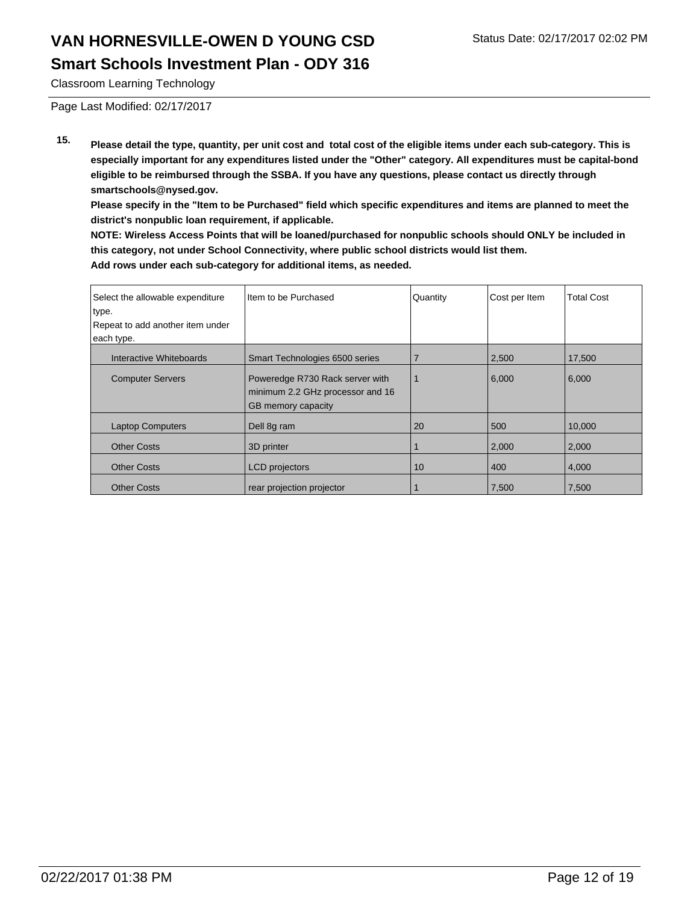Classroom Learning Technology

Page Last Modified: 02/17/2017

**15. Please detail the type, quantity, per unit cost and total cost of the eligible items under each sub-category. This is especially important for any expenditures listed under the "Other" category. All expenditures must be capital-bond eligible to be reimbursed through the SSBA. If you have any questions, please contact us directly through smartschools@nysed.gov.**

**Please specify in the "Item to be Purchased" field which specific expenditures and items are planned to meet the district's nonpublic loan requirement, if applicable.**

**NOTE: Wireless Access Points that will be loaned/purchased for nonpublic schools should ONLY be included in this category, not under School Connectivity, where public school districts would list them. Add rows under each sub-category for additional items, as needed.**

| Select the allowable expenditure<br>type.<br>Repeat to add another item under<br>each type. | Item to be Purchased                                                                      | Quantity | Cost per Item | <b>Total Cost</b> |
|---------------------------------------------------------------------------------------------|-------------------------------------------------------------------------------------------|----------|---------------|-------------------|
| Interactive Whiteboards                                                                     | Smart Technologies 6500 series                                                            |          | 2,500         | 17,500            |
| <b>Computer Servers</b>                                                                     | Poweredge R730 Rack server with<br>minimum 2.2 GHz processor and 16<br>GB memory capacity |          | 6,000         | 6,000             |
| <b>Laptop Computers</b>                                                                     | Dell 8g ram                                                                               | 20       | 500           | 10,000            |
| <b>Other Costs</b>                                                                          | 3D printer                                                                                |          | 2,000         | 2,000             |
| <b>Other Costs</b>                                                                          | <b>LCD</b> projectors                                                                     | 10       | 400           | 4,000             |
| <b>Other Costs</b>                                                                          | rear projection projector                                                                 |          | 7.500         | 7.500             |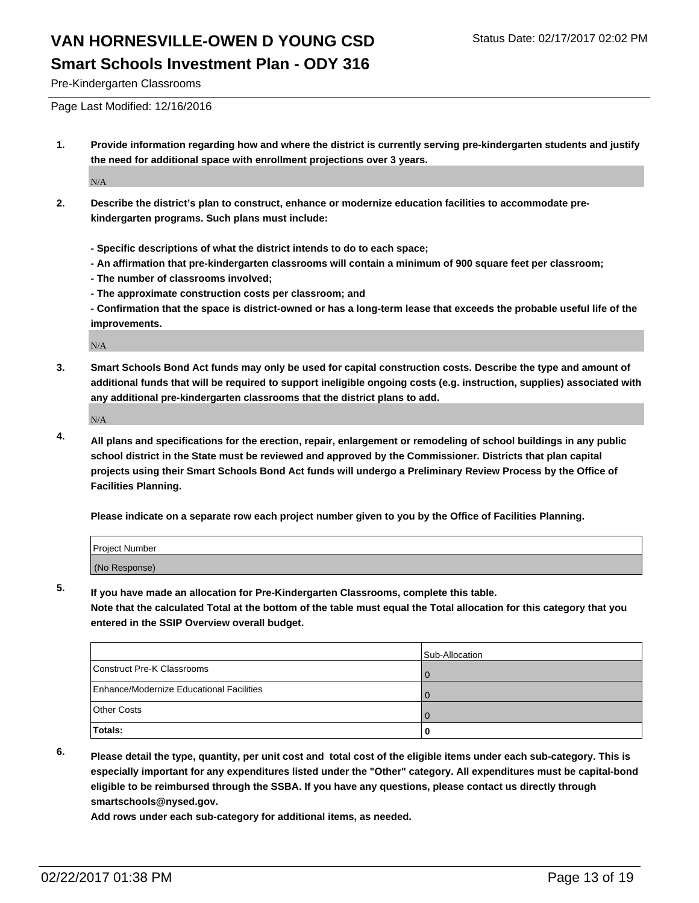Pre-Kindergarten Classrooms

Page Last Modified: 12/16/2016

**1. Provide information regarding how and where the district is currently serving pre-kindergarten students and justify the need for additional space with enrollment projections over 3 years.**

N/A

- **2. Describe the district's plan to construct, enhance or modernize education facilities to accommodate prekindergarten programs. Such plans must include:**
	- **Specific descriptions of what the district intends to do to each space;**
	- **An affirmation that pre-kindergarten classrooms will contain a minimum of 900 square feet per classroom;**
	- **The number of classrooms involved;**
	- **The approximate construction costs per classroom; and**
	- **Confirmation that the space is district-owned or has a long-term lease that exceeds the probable useful life of the improvements.**

N/A

**3. Smart Schools Bond Act funds may only be used for capital construction costs. Describe the type and amount of additional funds that will be required to support ineligible ongoing costs (e.g. instruction, supplies) associated with any additional pre-kindergarten classrooms that the district plans to add.**

N/A

**4. All plans and specifications for the erection, repair, enlargement or remodeling of school buildings in any public school district in the State must be reviewed and approved by the Commissioner. Districts that plan capital projects using their Smart Schools Bond Act funds will undergo a Preliminary Review Process by the Office of Facilities Planning.**

**Please indicate on a separate row each project number given to you by the Office of Facilities Planning.**

| Project Number |  |  |
|----------------|--|--|
| (No Response)  |  |  |

**5. If you have made an allocation for Pre-Kindergarten Classrooms, complete this table.**

**Note that the calculated Total at the bottom of the table must equal the Total allocation for this category that you entered in the SSIP Overview overall budget.**

|                                          | Sub-Allocation |
|------------------------------------------|----------------|
| Construct Pre-K Classrooms               |                |
| Enhance/Modernize Educational Facilities |                |
| Other Costs                              |                |
| Totals:                                  |                |

**6. Please detail the type, quantity, per unit cost and total cost of the eligible items under each sub-category. This is especially important for any expenditures listed under the "Other" category. All expenditures must be capital-bond eligible to be reimbursed through the SSBA. If you have any questions, please contact us directly through smartschools@nysed.gov.**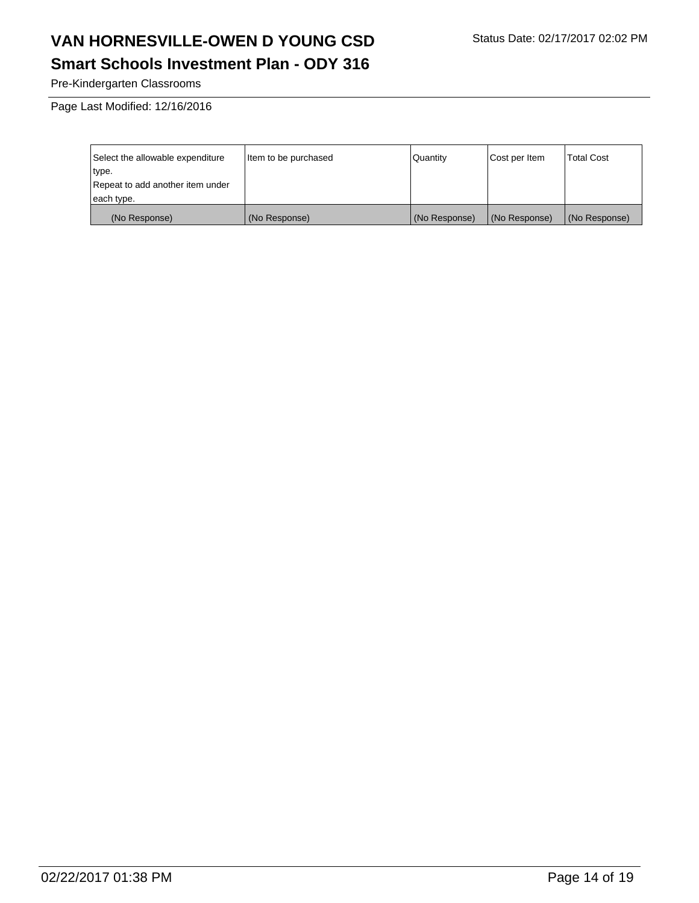### **Smart Schools Investment Plan - ODY 316**

Pre-Kindergarten Classrooms

Page Last Modified: 12/16/2016

| Select the allowable expenditure | Item to be purchased | Quantity      | Cost per Item | <b>Total Cost</b> |
|----------------------------------|----------------------|---------------|---------------|-------------------|
| type.                            |                      |               |               |                   |
| Repeat to add another item under |                      |               |               |                   |
| each type.                       |                      |               |               |                   |
| (No Response)                    | (No Response)        | (No Response) | (No Response) | (No Response)     |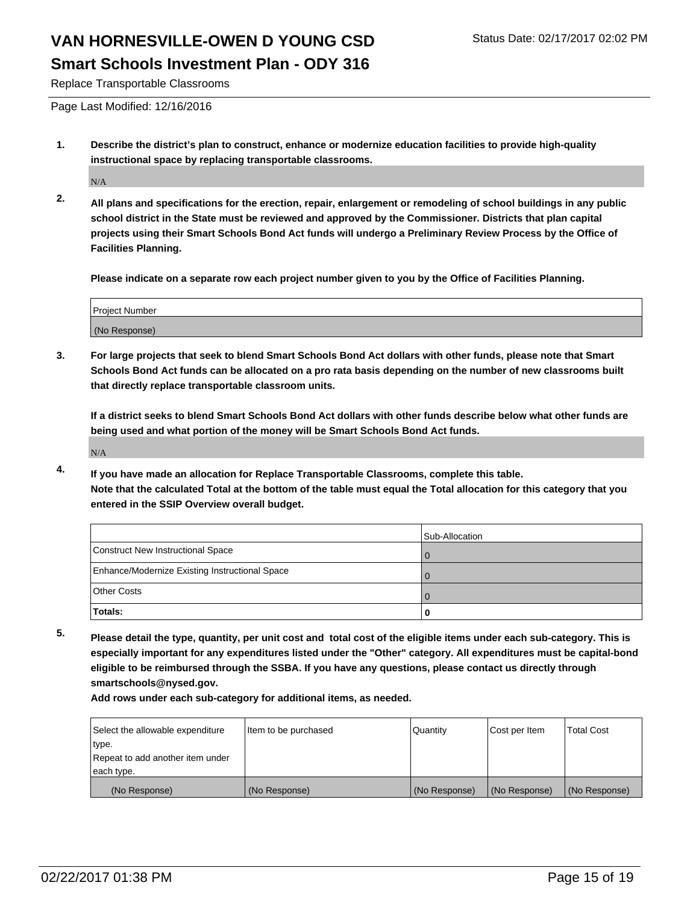Replace Transportable Classrooms

Page Last Modified: 12/16/2016

**1. Describe the district's plan to construct, enhance or modernize education facilities to provide high-quality instructional space by replacing transportable classrooms.**

N/A

**2. All plans and specifications for the erection, repair, enlargement or remodeling of school buildings in any public school district in the State must be reviewed and approved by the Commissioner. Districts that plan capital projects using their Smart Schools Bond Act funds will undergo a Preliminary Review Process by the Office of Facilities Planning.**

**Please indicate on a separate row each project number given to you by the Office of Facilities Planning.**

| Project Number |  |
|----------------|--|
| (No Response)  |  |

**3. For large projects that seek to blend Smart Schools Bond Act dollars with other funds, please note that Smart Schools Bond Act funds can be allocated on a pro rata basis depending on the number of new classrooms built that directly replace transportable classroom units.**

**If a district seeks to blend Smart Schools Bond Act dollars with other funds describe below what other funds are being used and what portion of the money will be Smart Schools Bond Act funds.**

N/A

**4. If you have made an allocation for Replace Transportable Classrooms, complete this table. Note that the calculated Total at the bottom of the table must equal the Total allocation for this category that you entered in the SSIP Overview overall budget.**

|                                                | Sub-Allocation |
|------------------------------------------------|----------------|
| Construct New Instructional Space              |                |
| Enhance/Modernize Existing Instructional Space |                |
| Other Costs                                    |                |
| Totals:                                        |                |

**5. Please detail the type, quantity, per unit cost and total cost of the eligible items under each sub-category. This is especially important for any expenditures listed under the "Other" category. All expenditures must be capital-bond eligible to be reimbursed through the SSBA. If you have any questions, please contact us directly through smartschools@nysed.gov.**

| Select the allowable expenditure | litem to be purchased | Quantity      | Cost per Item | <b>Total Cost</b> |
|----------------------------------|-----------------------|---------------|---------------|-------------------|
| type.                            |                       |               |               |                   |
| Repeat to add another item under |                       |               |               |                   |
| each type.                       |                       |               |               |                   |
| (No Response)                    | (No Response)         | (No Response) | (No Response) | (No Response)     |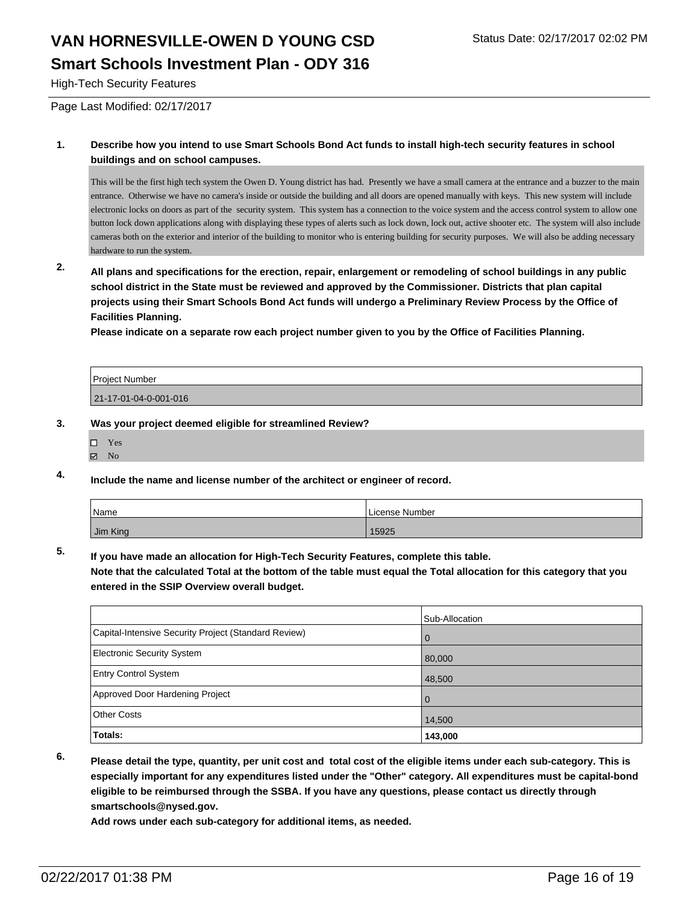#### High-Tech Security Features

Page Last Modified: 02/17/2017

#### **1. Describe how you intend to use Smart Schools Bond Act funds to install high-tech security features in school buildings and on school campuses.**

This will be the first high tech system the Owen D. Young district has had. Presently we have a small camera at the entrance and a buzzer to the main entrance. Otherwise we have no camera's inside or outside the building and all doors are opened manually with keys. This new system will include electronic locks on doors as part of the security system. This system has a connection to the voice system and the access control system to allow one button lock down applications along with displaying these types of alerts such as lock down, lock out, active shooter etc. The system will also include cameras both on the exterior and interior of the building to monitor who is entering building for security purposes. We will also be adding necessary hardware to run the system.

**2. All plans and specifications for the erection, repair, enlargement or remodeling of school buildings in any public school district in the State must be reviewed and approved by the Commissioner. Districts that plan capital projects using their Smart Schools Bond Act funds will undergo a Preliminary Review Process by the Office of Facilities Planning.** 

**Please indicate on a separate row each project number given to you by the Office of Facilities Planning.**

| <b>Project Number</b> |  |
|-----------------------|--|
| 21-17-01-04-0-001-016 |  |

#### **3. Was your project deemed eligible for streamlined Review?**

- Yes
- $\boxtimes$  No
- **4. Include the name and license number of the architect or engineer of record.**

| <i>Name</i> | License Number |
|-------------|----------------|
| Jim King    | 15925          |

**5. If you have made an allocation for High-Tech Security Features, complete this table.**

**Note that the calculated Total at the bottom of the table must equal the Total allocation for this category that you entered in the SSIP Overview overall budget.**

|                                                      | Sub-Allocation |
|------------------------------------------------------|----------------|
| Capital-Intensive Security Project (Standard Review) | $\mathbf{0}$   |
| Electronic Security System                           | 80,000         |
| <b>Entry Control System</b>                          | 48,500         |
| Approved Door Hardening Project                      | $\mathbf 0$    |
| Other Costs                                          | 14,500         |
| Totals:                                              | 143,000        |

**6. Please detail the type, quantity, per unit cost and total cost of the eligible items under each sub-category. This is especially important for any expenditures listed under the "Other" category. All expenditures must be capital-bond eligible to be reimbursed through the SSBA. If you have any questions, please contact us directly through smartschools@nysed.gov.**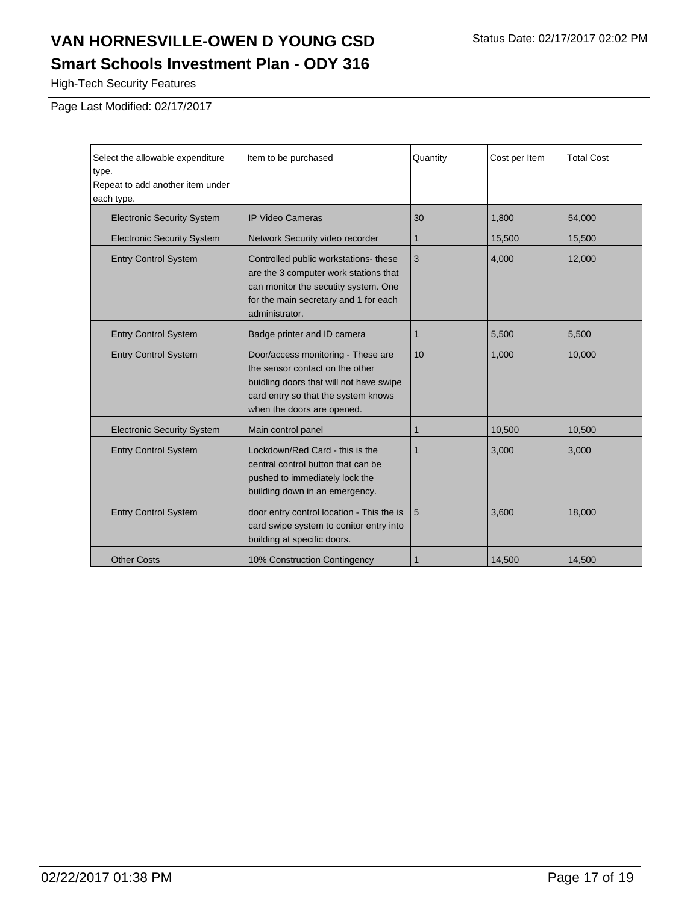High-Tech Security Features

Page Last Modified: 02/17/2017

| Select the allowable expenditure<br>type.<br>Repeat to add another item under<br>each type. | Item to be purchased                                                                                                                                                                  | Quantity    | Cost per Item | <b>Total Cost</b> |
|---------------------------------------------------------------------------------------------|---------------------------------------------------------------------------------------------------------------------------------------------------------------------------------------|-------------|---------------|-------------------|
| <b>Electronic Security System</b>                                                           | <b>IP Video Cameras</b>                                                                                                                                                               | 30          | 1,800         | 54,000            |
| <b>Electronic Security System</b>                                                           | Network Security video recorder                                                                                                                                                       | 1           | 15,500        | 15,500            |
| <b>Entry Control System</b>                                                                 | Controlled public workstations- these<br>are the 3 computer work stations that<br>can monitor the secutity system. One<br>for the main secretary and 1 for each<br>administrator.     | 3           | 4,000         | 12,000            |
| <b>Entry Control System</b>                                                                 | Badge printer and ID camera                                                                                                                                                           | $\mathbf 1$ | 5,500         | 5,500             |
| <b>Entry Control System</b>                                                                 | Door/access monitoring - These are<br>the sensor contact on the other<br>buidling doors that will not have swipe<br>card entry so that the system knows<br>when the doors are opened. | 10          | 1,000         | 10,000            |
| <b>Electronic Security System</b>                                                           | Main control panel                                                                                                                                                                    | 1           | 10,500        | 10,500            |
| <b>Entry Control System</b>                                                                 | Lockdown/Red Card - this is the<br>central control button that can be<br>pushed to immediately lock the<br>building down in an emergency.                                             | 1           | 3,000         | 3,000             |
| <b>Entry Control System</b>                                                                 | door entry control location - This the is<br>card swipe system to conitor entry into<br>building at specific doors.                                                                   | 5           | 3,600         | 18,000            |
| <b>Other Costs</b>                                                                          | 10% Construction Contingency                                                                                                                                                          |             | 14.500        | 14,500            |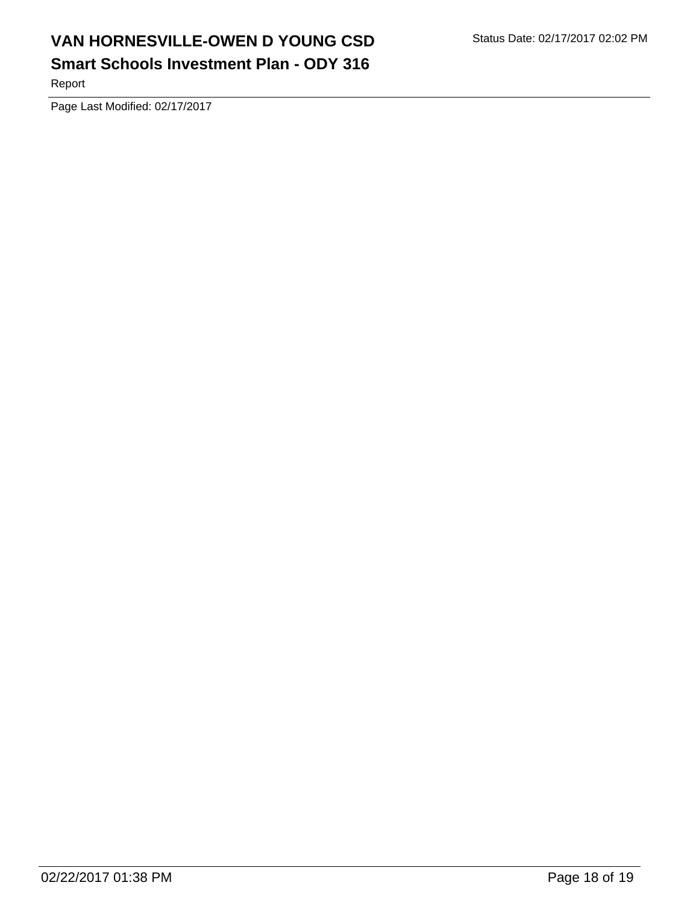## **Smart Schools Investment Plan - ODY 316**

Report

Page Last Modified: 02/17/2017